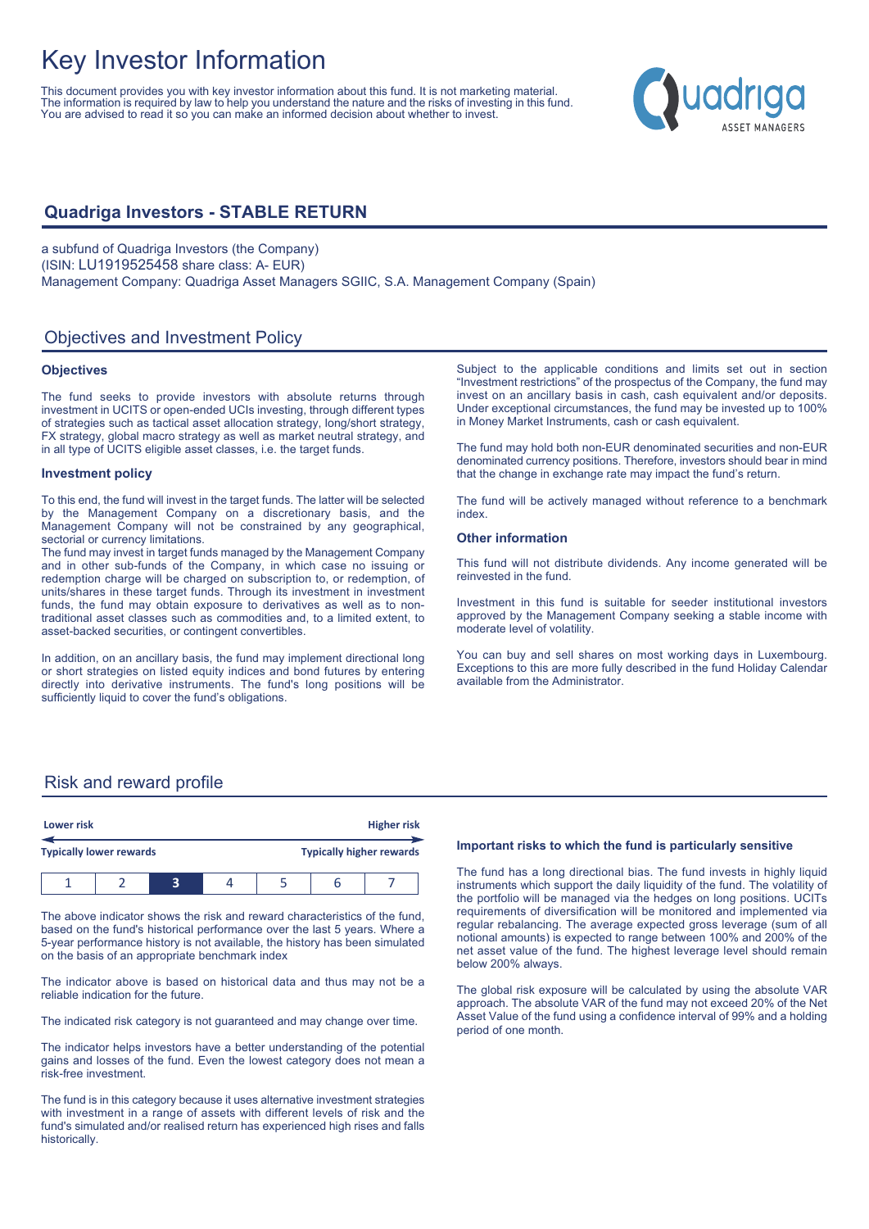# Key Investor Information

This document provides you with key investor information about this fund. It is not marketing material. The information is required by law to help you understand the nature and the risks of investing in this fund. You are advised to read it so you can make an informed decision about whether to invest.

## **Quadriga Investors - STABLE RETURN**

a subfund of Quadriga Investors (the Company) (ISIN: LU1919525458 share class: A- EUR) Management Company: Quadriga Asset Managers SGIIC, S.A. Management Company (Spain)

## Objectives and Investment Policy

#### **Objectives**

The fund seeks to provide investors with absolute returns through investment in UCITS or open-ended UCIs investing, through different types of strategies such as tactical asset allocation strategy, long/short strategy, FX strategy, global macro strategy as well as market neutral strategy, and in all type of UCITS eligible asset classes, i.e. the target funds.

#### **Investment policy**

To this end, the fund will invest in the target funds. The latter will be selected by the Management Company on a discretionary basis, and the Management Company will not be constrained by any geographical, sectorial or currency limitations.

The fund may invest in target funds managed by the Management Company and in other sub-funds of the Company, in which case no issuing or redemption charge will be charged on subscription to, or redemption, of units/shares in these target funds. Through its investment in investment funds, the fund may obtain exposure to derivatives as well as to nontraditional asset classes such as commodities and, to a limited extent, to asset-backed securities, or contingent convertibles.

In addition, on an ancillary basis, the fund may implement directional long or short strategies on listed equity indices and bond futures by entering directly into derivative instruments. The fund's long positions will be sufficiently liquid to cover the fund's obligations.

Subject to the applicable conditions and limits set out in section "Investment restrictions" of the prospectus of the Company, the fund may invest on an ancillary basis in cash, cash equivalent and/or deposits. Under exceptional circumstances, the fund may be invested up to 100% in Money Market Instruments, cash or cash equivalent.

The fund may hold both non-EUR denominated securities and non-EUR denominated currency positions. Therefore, investors should bear in mind that the change in exchange rate may impact the fund's return.

The fund will be actively managed without reference to a benchmark index.

#### **Other information**

This fund will not distribute dividends. Any income generated will be reinvested in the fund.

Investment in this fund is suitable for seeder institutional investors approved by the Management Company seeking a stable income with moderate level of volatility.

You can buy and sell shares on most working days in Luxembourg. Exceptions to this are more fully described in the fund Holiday Calendar available from the Administrator.

#### Risk and reward profile

|                                | Lower risk |  |  | <b>Higher risk</b> |  |                                 |  |  |
|--------------------------------|------------|--|--|--------------------|--|---------------------------------|--|--|
| <b>Typically lower rewards</b> |            |  |  |                    |  | <b>Typically higher rewards</b> |  |  |
|                                |            |  |  |                    |  | ь                               |  |  |

The above indicator shows the risk and reward characteristics of the fund, based on the fund's historical performance over the last 5 years. Where a 5-year performance history is not available, the history has been simulated on the basis of an appropriate benchmark index

The indicator above is based on historical data and thus may not be a reliable indication for the future.

The indicated risk category is not guaranteed and may change over time.

The indicator helps investors have a better understanding of the potential gains and losses of the fund. Even the lowest category does not mean a risk-free investment.

The fund is in this category because it uses alternative investment strategies with investment in a range of assets with different levels of risk and the fund's simulated and/or realised return has experienced high rises and falls historically.

#### **Important risks to which the fund is particularly sensitive**

The fund has a long directional bias. The fund invests in highly liquid instruments which support the daily liquidity of the fund. The volatility of the portfolio will be managed via the hedges on long positions. UCITs requirements of diversification will be monitored and implemented via regular rebalancing. The average expected gross leverage (sum of all notional amounts) is expected to range between 100% and 200% of the net asset value of the fund. The highest leverage level should remain below 200% always.

The global risk exposure will be calculated by using the absolute VAR approach. The absolute VAR of the fund may not exceed 20% of the Net Asset Value of the fund using a confidence interval of 99% and a holding period of one month.